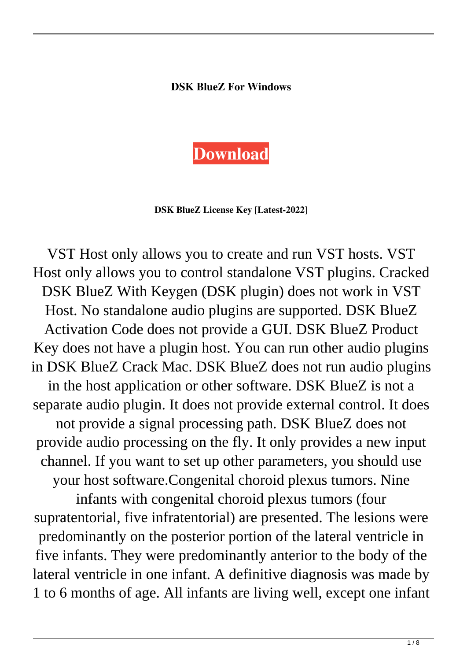## **DSK BlueZ For Windows**



**DSK BlueZ License Key [Latest-2022]**

VST Host only allows you to create and run VST hosts. VST Host only allows you to control standalone VST plugins. Cracked DSK BlueZ With Keygen (DSK plugin) does not work in VST Host. No standalone audio plugins are supported. DSK BlueZ Activation Code does not provide a GUI. DSK BlueZ Product Key does not have a plugin host. You can run other audio plugins in DSK BlueZ Crack Mac. DSK BlueZ does not run audio plugins in the host application or other software. DSK BlueZ is not a separate audio plugin. It does not provide external control. It does not provide a signal processing path. DSK BlueZ does not provide audio processing on the fly. It only provides a new input channel. If you want to set up other parameters, you should use your host software.Congenital choroid plexus tumors. Nine infants with congenital choroid plexus tumors (four supratentorial, five infratentorial) are presented. The lesions were predominantly on the posterior portion of the lateral ventricle in five infants. They were predominantly anterior to the body of the lateral ventricle in one infant. A definitive diagnosis was made by

1 to 6 months of age. All infants are living well, except one infant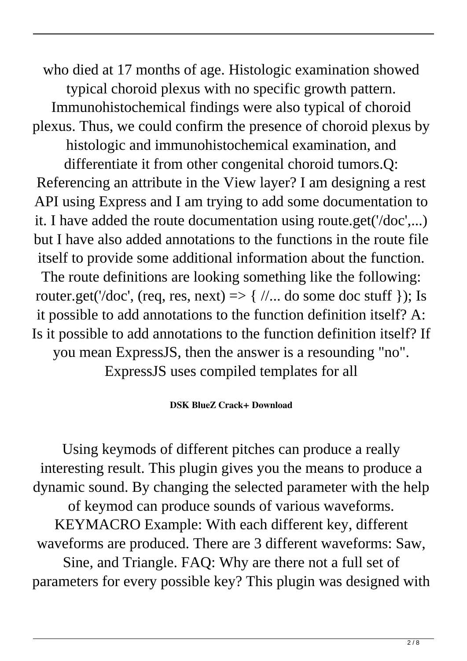who died at 17 months of age. Histologic examination showed typical choroid plexus with no specific growth pattern. Immunohistochemical findings were also typical of choroid plexus. Thus, we could confirm the presence of choroid plexus by histologic and immunohistochemical examination, and differentiate it from other congenital choroid tumors.Q: Referencing an attribute in the View layer? I am designing a rest API using Express and I am trying to add some documentation to it. I have added the route documentation using route.get('/doc',...) but I have also added annotations to the functions in the route file itself to provide some additional information about the function. The route definitions are looking something like the following: router.get('/doc', (req, res, next)  $\Rightarrow$  { //... do some doc stuff }); Is it possible to add annotations to the function definition itself? A: Is it possible to add annotations to the function definition itself? If you mean ExpressJS, then the answer is a resounding "no". ExpressJS uses compiled templates for all

## **DSK BlueZ Crack+ Download**

Using keymods of different pitches can produce a really interesting result. This plugin gives you the means to produce a dynamic sound. By changing the selected parameter with the help of keymod can produce sounds of various waveforms. KEYMACRO Example: With each different key, different waveforms are produced. There are 3 different waveforms: Saw, Sine, and Triangle. FAQ: Why are there not a full set of parameters for every possible key? This plugin was designed with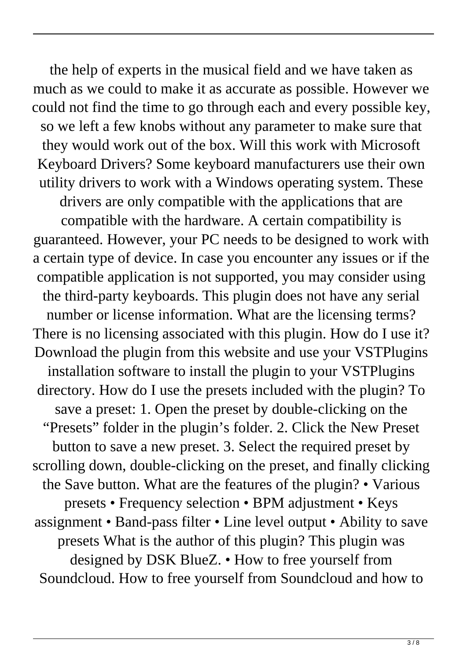the help of experts in the musical field and we have taken as much as we could to make it as accurate as possible. However we could not find the time to go through each and every possible key, so we left a few knobs without any parameter to make sure that they would work out of the box. Will this work with Microsoft Keyboard Drivers? Some keyboard manufacturers use their own utility drivers to work with a Windows operating system. These

drivers are only compatible with the applications that are compatible with the hardware. A certain compatibility is guaranteed. However, your PC needs to be designed to work with a certain type of device. In case you encounter any issues or if the compatible application is not supported, you may consider using the third-party keyboards. This plugin does not have any serial number or license information. What are the licensing terms? There is no licensing associated with this plugin. How do I use it? Download the plugin from this website and use your VSTPlugins installation software to install the plugin to your VSTPlugins directory. How do I use the presets included with the plugin? To save a preset: 1. Open the preset by double-clicking on the "Presets" folder in the plugin's folder. 2. Click the New Preset button to save a new preset. 3. Select the required preset by scrolling down, double-clicking on the preset, and finally clicking the Save button. What are the features of the plugin? • Various presets • Frequency selection • BPM adjustment • Keys assignment • Band-pass filter • Line level output • Ability to save presets What is the author of this plugin? This plugin was designed by DSK BlueZ. • How to free yourself from Soundcloud. How to free yourself from Soundcloud and how to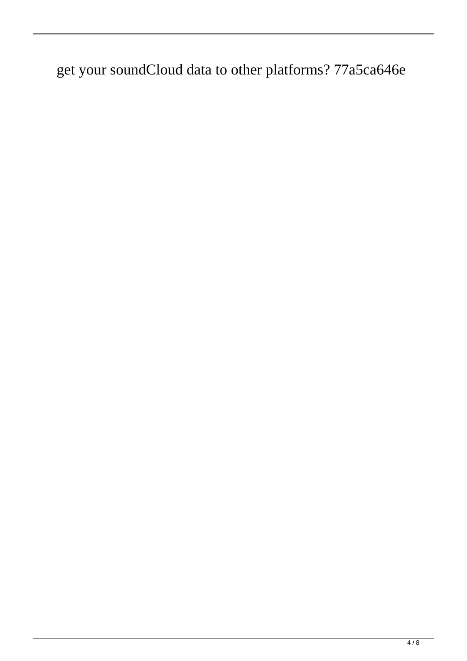get your soundCloud data to other platforms? 77a5ca646e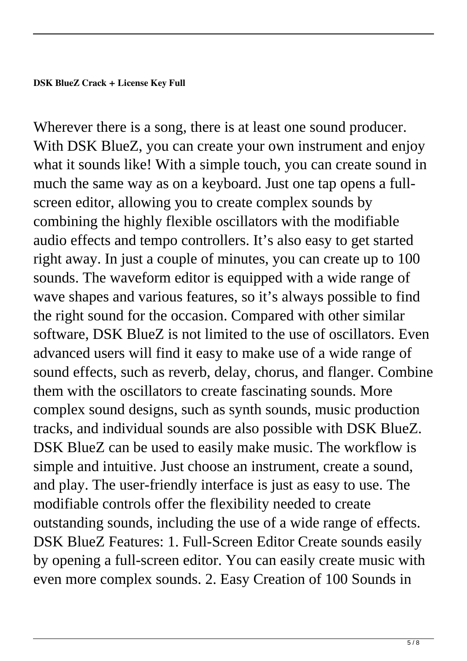Wherever there is a song, there is at least one sound producer. With DSK BlueZ, you can create your own instrument and enjoy what it sounds like! With a simple touch, you can create sound in much the same way as on a keyboard. Just one tap opens a fullscreen editor, allowing you to create complex sounds by combining the highly flexible oscillators with the modifiable audio effects and tempo controllers. It's also easy to get started right away. In just a couple of minutes, you can create up to 100 sounds. The waveform editor is equipped with a wide range of wave shapes and various features, so it's always possible to find the right sound for the occasion. Compared with other similar software, DSK BlueZ is not limited to the use of oscillators. Even advanced users will find it easy to make use of a wide range of sound effects, such as reverb, delay, chorus, and flanger. Combine them with the oscillators to create fascinating sounds. More complex sound designs, such as synth sounds, music production tracks, and individual sounds are also possible with DSK BlueZ. DSK BlueZ can be used to easily make music. The workflow is simple and intuitive. Just choose an instrument, create a sound, and play. The user-friendly interface is just as easy to use. The modifiable controls offer the flexibility needed to create outstanding sounds, including the use of a wide range of effects. DSK BlueZ Features: 1. Full-Screen Editor Create sounds easily by opening a full-screen editor. You can easily create music with even more complex sounds. 2. Easy Creation of 100 Sounds in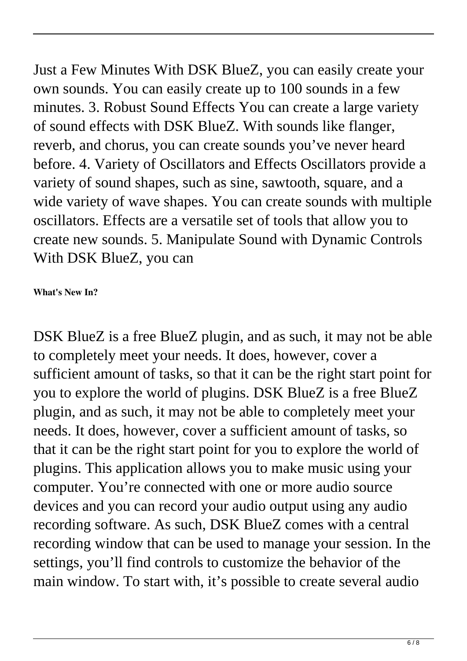Just a Few Minutes With DSK BlueZ, you can easily create your own sounds. You can easily create up to 100 sounds in a few minutes. 3. Robust Sound Effects You can create a large variety of sound effects with DSK BlueZ. With sounds like flanger, reverb, and chorus, you can create sounds you've never heard before. 4. Variety of Oscillators and Effects Oscillators provide a variety of sound shapes, such as sine, sawtooth, square, and a wide variety of wave shapes. You can create sounds with multiple oscillators. Effects are a versatile set of tools that allow you to create new sounds. 5. Manipulate Sound with Dynamic Controls With DSK BlueZ, you can

**What's New In?**

DSK BlueZ is a free BlueZ plugin, and as such, it may not be able to completely meet your needs. It does, however, cover a sufficient amount of tasks, so that it can be the right start point for you to explore the world of plugins. DSK BlueZ is a free BlueZ plugin, and as such, it may not be able to completely meet your needs. It does, however, cover a sufficient amount of tasks, so that it can be the right start point for you to explore the world of plugins. This application allows you to make music using your computer. You're connected with one or more audio source devices and you can record your audio output using any audio recording software. As such, DSK BlueZ comes with a central recording window that can be used to manage your session. In the settings, you'll find controls to customize the behavior of the main window. To start with, it's possible to create several audio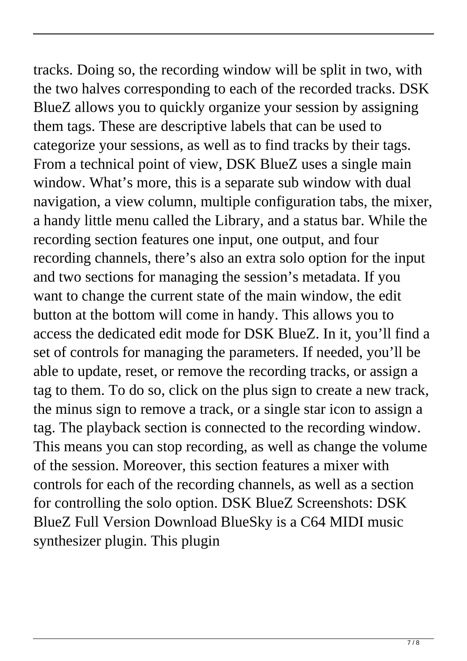tracks. Doing so, the recording window will be split in two, with the two halves corresponding to each of the recorded tracks. DSK BlueZ allows you to quickly organize your session by assigning them tags. These are descriptive labels that can be used to categorize your sessions, as well as to find tracks by their tags. From a technical point of view, DSK BlueZ uses a single main window. What's more, this is a separate sub window with dual navigation, a view column, multiple configuration tabs, the mixer, a handy little menu called the Library, and a status bar. While the recording section features one input, one output, and four recording channels, there's also an extra solo option for the input and two sections for managing the session's metadata. If you want to change the current state of the main window, the edit button at the bottom will come in handy. This allows you to access the dedicated edit mode for DSK BlueZ. In it, you'll find a set of controls for managing the parameters. If needed, you'll be able to update, reset, or remove the recording tracks, or assign a tag to them. To do so, click on the plus sign to create a new track, the minus sign to remove a track, or a single star icon to assign a tag. The playback section is connected to the recording window. This means you can stop recording, as well as change the volume of the session. Moreover, this section features a mixer with controls for each of the recording channels, as well as a section for controlling the solo option. DSK BlueZ Screenshots: DSK BlueZ Full Version Download BlueSky is a C64 MIDI music synthesizer plugin. This plugin